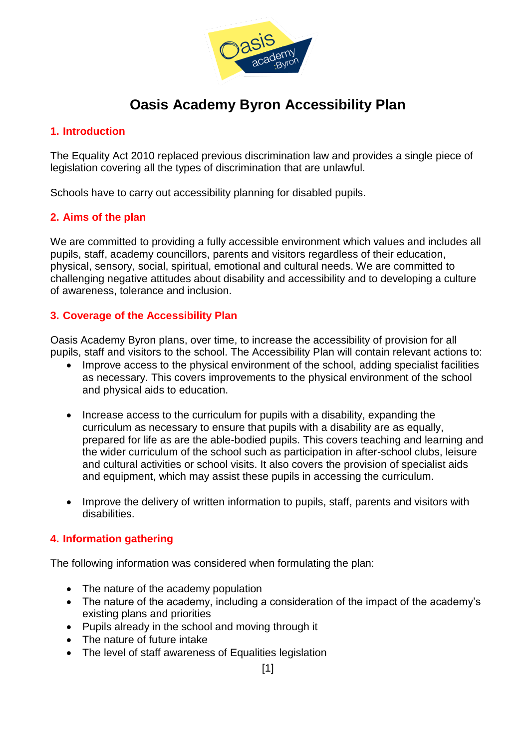

# **Oasis Academy Byron Accessibility Plan**

#### **1. Introduction**

The Equality Act 2010 replaced previous discrimination law and provides a single piece of legislation covering all the types of discrimination that are unlawful.

Schools have to carry out accessibility planning for disabled pupils.

#### **2. Aims of the plan**

We are committed to providing a fully accessible environment which values and includes all pupils, staff, academy councillors, parents and visitors regardless of their education, physical, sensory, social, spiritual, emotional and cultural needs. We are committed to challenging negative attitudes about disability and accessibility and to developing a culture of awareness, tolerance and inclusion.

#### **3. Coverage of the Accessibility Plan**

Oasis Academy Byron plans, over time, to increase the accessibility of provision for all pupils, staff and visitors to the school. The Accessibility Plan will contain relevant actions to:

- Improve access to the physical environment of the school, adding specialist facilities as necessary. This covers improvements to the physical environment of the school and physical aids to education.
- Increase access to the curriculum for pupils with a disability, expanding the curriculum as necessary to ensure that pupils with a disability are as equally, prepared for life as are the able-bodied pupils. This covers teaching and learning and the wider curriculum of the school such as participation in after-school clubs, leisure and cultural activities or school visits. It also covers the provision of specialist aids and equipment, which may assist these pupils in accessing the curriculum.
- Improve the delivery of written information to pupils, staff, parents and visitors with disabilities.

#### **4. Information gathering**

The following information was considered when formulating the plan:

- The nature of the academy population
- The nature of the academy, including a consideration of the impact of the academy's existing plans and priorities
- Pupils already in the school and moving through it
- The nature of future intake
- The level of staff awareness of Equalities legislation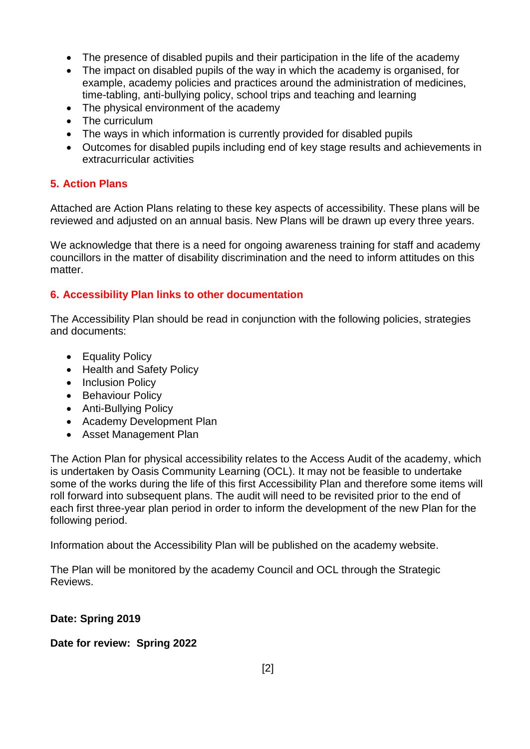- The presence of disabled pupils and their participation in the life of the academy
- The impact on disabled pupils of the way in which the academy is organised, for example, academy policies and practices around the administration of medicines, time-tabling, anti-bullying policy, school trips and teaching and learning
- The physical environment of the academy
- The curriculum
- The ways in which information is currently provided for disabled pupils
- Outcomes for disabled pupils including end of key stage results and achievements in extracurricular activities

#### **5. Action Plans**

Attached are Action Plans relating to these key aspects of accessibility. These plans will be reviewed and adjusted on an annual basis. New Plans will be drawn up every three years.

We acknowledge that there is a need for ongoing awareness training for staff and academy councillors in the matter of disability discrimination and the need to inform attitudes on this matter.

#### **6. Accessibility Plan links to other documentation**

The Accessibility Plan should be read in conjunction with the following policies, strategies and documents:

- Equality Policy
- Health and Safety Policy
- Inclusion Policy
- Behaviour Policy
- Anti-Bullying Policy
- Academy Development Plan
- Asset Management Plan

The Action Plan for physical accessibility relates to the Access Audit of the academy, which is undertaken by Oasis Community Learning (OCL). It may not be feasible to undertake some of the works during the life of this first Accessibility Plan and therefore some items will roll forward into subsequent plans. The audit will need to be revisited prior to the end of each first three-year plan period in order to inform the development of the new Plan for the following period.

Information about the Accessibility Plan will be published on the academy website.

The Plan will be monitored by the academy Council and OCL through the Strategic Reviews.

#### **Date: Spring 2019**

**Date for review: Spring 2022**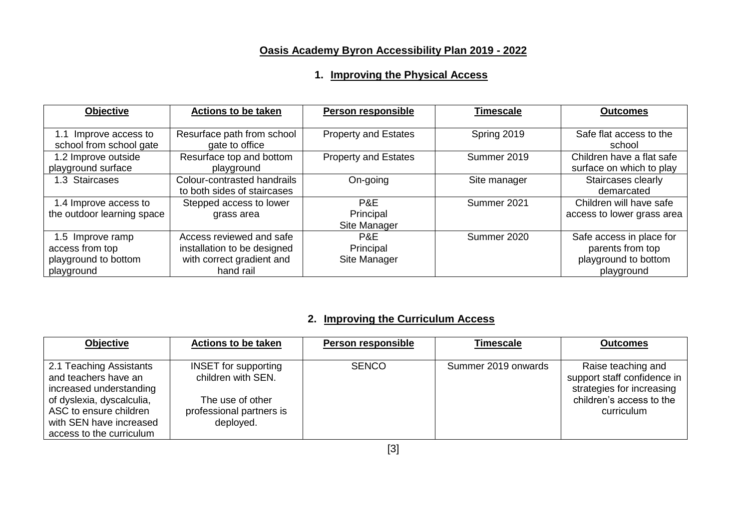# **Oasis Academy Byron Accessibility Plan 2019 - 2022**

### **1. Improving the Physical Access**

| <b>Objective</b>                                                          | <b>Actions to be taken</b>                                                                        | <b>Person responsible</b>        | <b>Timescale</b> | <b>Outcomes</b>                                                                    |
|---------------------------------------------------------------------------|---------------------------------------------------------------------------------------------------|----------------------------------|------------------|------------------------------------------------------------------------------------|
| 1.1 Improve access to<br>school from school gate                          | Resurface path from school<br>gate to office                                                      | <b>Property and Estates</b>      | Spring 2019      | Safe flat access to the<br>school                                                  |
| 1.2 Improve outside<br>playground surface                                 | Resurface top and bottom<br>playground                                                            | <b>Property and Estates</b>      | Summer 2019      | Children have a flat safe<br>surface on which to play                              |
| 1.3 Staircases                                                            | Colour-contrasted handrails<br>to both sides of staircases                                        | On-going                         | Site manager     | Staircases clearly<br>demarcated                                                   |
| 1.4 Improve access to<br>the outdoor learning space                       | Stepped access to lower<br>grass area                                                             | P&E<br>Principal<br>Site Manager | Summer 2021      | Children will have safe<br>access to lower grass area                              |
| 1.5 Improve ramp<br>access from top<br>playground to bottom<br>playground | Access reviewed and safe<br>installation to be designed<br>with correct gradient and<br>hand rail | P&E<br>Principal<br>Site Manager | Summer 2020      | Safe access in place for<br>parents from top<br>playground to bottom<br>playground |

### **2. Improving the Curriculum Access**

| <b>Objective</b>          | <b>Actions to be taken</b>  | <b>Person responsible</b> | Timescale           | <b>Outcomes</b>             |
|---------------------------|-----------------------------|---------------------------|---------------------|-----------------------------|
|                           |                             |                           |                     |                             |
| 2.1 Teaching Assistants   | <b>INSET</b> for supporting | <b>SENCO</b>              | Summer 2019 onwards | Raise teaching and          |
| and teachers have an      | children with SEN.          |                           |                     | support staff confidence in |
| increased understanding   |                             |                           |                     | strategies for increasing   |
| of dyslexia, dyscalculia, | The use of other            |                           |                     | children's access to the    |
| ASC to ensure children    | professional partners is    |                           |                     | curriculum                  |
| with SEN have increased   | deployed.                   |                           |                     |                             |
| access to the curriculum  |                             |                           |                     |                             |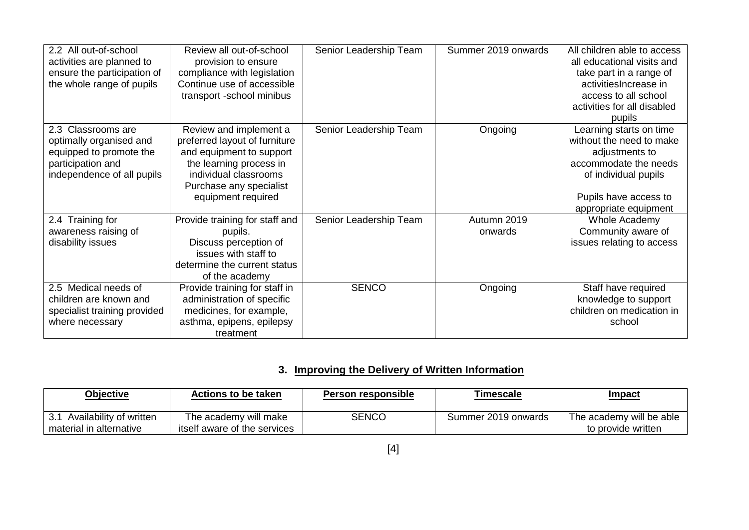|                   | 2.2 All out-of-school<br>activities are planned to<br>ensure the participation of<br>the whole range of pupils              | Review all out-of-school<br>provision to ensure<br>compliance with legislation<br>Continue use of accessible<br>transport -school minibus                                                | Senior Leadership Team | Summer 2019 onwards    | All children able to access<br>all educational visits and<br>take part in a range of<br>activitiesIncrease in<br>access to all school<br>activities for all disabled<br>pupils |
|-------------------|-----------------------------------------------------------------------------------------------------------------------------|------------------------------------------------------------------------------------------------------------------------------------------------------------------------------------------|------------------------|------------------------|--------------------------------------------------------------------------------------------------------------------------------------------------------------------------------|
|                   | 2.3 Classrooms are<br>optimally organised and<br>equipped to promote the<br>participation and<br>independence of all pupils | Review and implement a<br>preferred layout of furniture<br>and equipment to support<br>the learning process in<br>individual classrooms<br>Purchase any specialist<br>equipment required | Senior Leadership Team | Ongoing                | Learning starts on time<br>without the need to make<br>adjustments to<br>accommodate the needs<br>of individual pupils<br>Pupils have access to<br>appropriate equipment       |
| disability issues | 2.4 Training for<br>awareness raising of                                                                                    | Provide training for staff and<br>pupils.<br>Discuss perception of<br>issues with staff to<br>determine the current status<br>of the academy                                             | Senior Leadership Team | Autumn 2019<br>onwards | Whole Academy<br>Community aware of<br>issues relating to access                                                                                                               |
|                   | 2.5 Medical needs of<br>children are known and<br>specialist training provided<br>where necessary                           | Provide training for staff in<br>administration of specific<br>medicines, for example,<br>asthma, epipens, epilepsy<br>treatment                                                         | <b>SENCO</b>           | Ongoing                | Staff have required<br>knowledge to support<br>children on medication in<br>school                                                                                             |

## **3. Improving the Delivery of Written Information**

| <b>Objective</b>                                          | Actions to be taken                                   | Person responsible | Fimescale           | <u>Impact</u>                                  |
|-----------------------------------------------------------|-------------------------------------------------------|--------------------|---------------------|------------------------------------------------|
| Availability of written<br>ູບ.<br>material in alternative | The academy will make<br>itself aware of the services | <b>SENCO</b>       | Summer 2019 onwards | The academy will be able<br>to provide written |